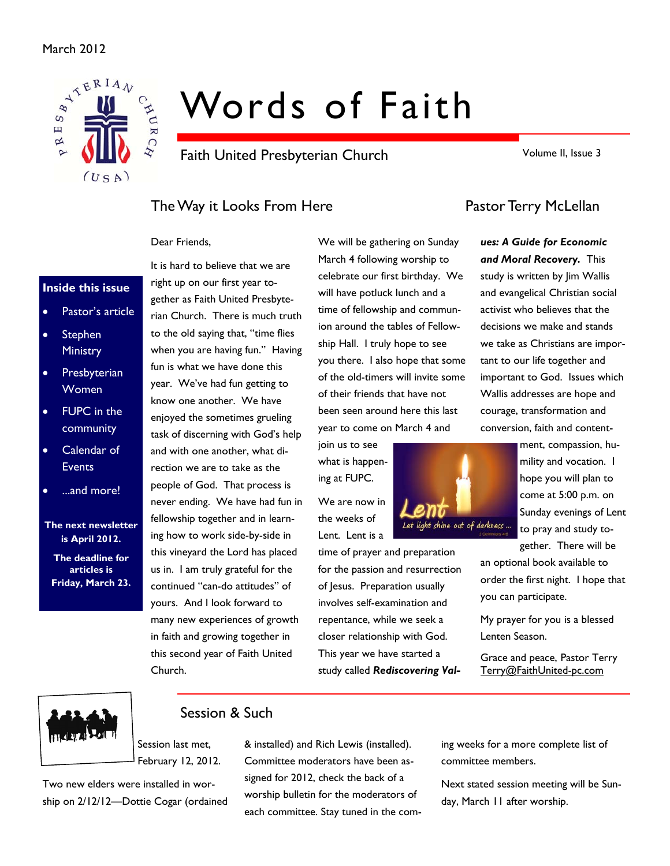#### March 2012



# Words of Faith

Faith United Presbyterian Church

Volume II, Issue 3

### The Way it Looks From Here **Pastor Terry McLellan**

It is hard to believe that we are

#### Dear Friends,

#### **Inside this issue**

- Pastor's article
- **Stephen Ministry**
- **Presbyterian** Women
- FUPC in the community
- Calendar of **Events**
- ...and more!

#### **The next newsletter is April 2012.**

**The deadline for articles is Friday, March 23.** 

right up on our first year together as Faith United Presbyterian Church. There is much truth to the old saying that, "time flies when you are having fun." Having fun is what we have done this year. We've had fun getting to know one another. We have enjoyed the sometimes grueling task of discerning with God's help and with one another, what direction we are to take as the people of God. That process is never ending. We have had fun in fellowship together and in learning how to work side-by-side in this vineyard the Lord has placed us in. I am truly grateful for the continued "can-do attitudes" of yours. And I look forward to many new experiences of growth in faith and growing together in this second year of Faith United Church.

We will be gathering on Sunday March 4 following worship to celebrate our first birthday. We will have potluck lunch and a time of fellowship and communion around the tables of Fellowship Hall. I truly hope to see you there. I also hope that some of the old-timers will invite some of their friends that have not been seen around here this last year to come on March 4 and

join us to see what is happening at FUPC.

We are now in the weeks of Lent. Lent is a

time of prayer and preparation for the passion and resurrection of Jesus. Preparation usually involves self-examination and repentance, while we seek a closer relationship with God. This year we have started a study called *Rediscovering Val-*

Let light shine out of darkness ...

*ues: A Guide for Economic and Moral Recovery.* This study is written by Jim Wallis and evangelical Christian social activist who believes that the decisions we make and stands we take as Christians are important to our life together and important to God. Issues which Wallis addresses are hope and courage, transformation and conversion, faith and content-

> ment, compassion, humility and vocation. I hope you will plan to come at 5:00 p.m. on Sunday evenings of Lent to pray and study together. There will be

an optional book available to order the first night. I hope that you can participate.

My prayer for you is a blessed Lenten Season.

Grace and peace, Pastor Terry Terry@FaithUnited-pc.com



### Session & Such

Session last met, February 12, 2012.

Two new elders were installed in worship on 2/12/12—Dottie Cogar (ordained & installed) and Rich Lewis (installed). Committee moderators have been assigned for 2012, check the back of a worship bulletin for the moderators of each committee. Stay tuned in the coming weeks for a more complete list of committee members.

Next stated session meeting will be Sunday, March 11 after worship.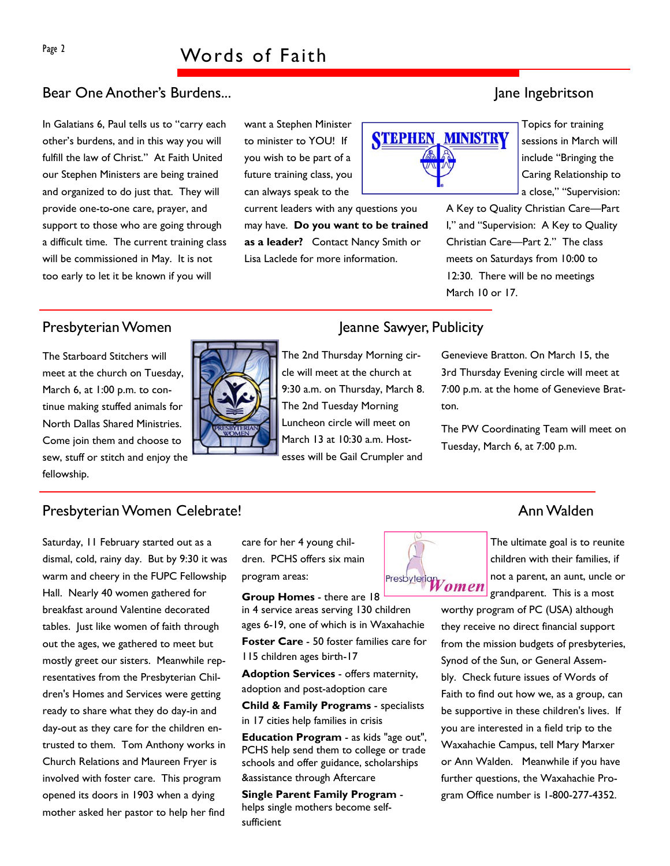## Page 2 Words of Faith

#### Bear One Another's Burdens...

In Galatians 6, Paul tells us to "carry each other's burdens, and in this way you will fulfill the law of Christ." At Faith United our Stephen Ministers are being trained and organized to do just that. They will provide one-to-one care, prayer, and support to those who are going through a difficult time. The current training class will be commissioned in May. It is not too early to let it be known if you will

want a Stephen Minister to minister to YOU! If you wish to be part of a future training class, you can always speak to the

current leaders with any questions you may have. **Do you want to be trained as a leader?** Contact Nancy Smith or Lisa Laclede for more information.



Topics for training sessions in March will include "Bringing the Caring Relationship to a close," "Supervision:

A Key to Quality Christian Care—Part I," and "Supervision: A Key to Quality Christian Care—Part 2." The class meets on Saturdays from 10:00 to 12:30. There will be no meetings March 10 or 17.

The Starboard Stitchers will meet at the church on Tuesday, March 6, at 1:00 p.m. to continue making stuffed animals for North Dallas Shared Ministries. Come join them and choose to sew, stuff or stitch and enjoy the fellowship.



### Presbyterian Women Jeanne Sawyer, Publicity

The 2nd Thursday Morning circle will meet at the church at 9:30 a.m. on Thursday, March 8. The 2nd Tuesday Morning Luncheon circle will meet on March 13 at 10:30 a.m. Hostesses will be Gail Crumpler and

#### Genevieve Bratton. On March 15, the 3rd Thursday Evening circle will meet at 7:00 p.m. at the home of Genevieve Bratton.

The PW Coordinating Team will meet on Tuesday, March 6, at 7:00 p.m.

### Presbyterian Women Celebrate! Announcement of the state of the Announcement of the Announcement of the Announcement of the Announcement of the Announcement of the Announcement of the Announcement of the Announcement of the

Saturday, 11 February started out as a dismal, cold, rainy day. But by 9:30 it was warm and cheery in the FUPC Fellowship Hall. Nearly 40 women gathered for breakfast around Valentine decorated tables. Just like women of faith through out the ages, we gathered to meet but mostly greet our sisters. Meanwhile representatives from the Presbyterian Children's Homes and Services were getting ready to share what they do day-in and day-out as they care for the children entrusted to them. Tom Anthony works in Church Relations and Maureen Fryer is involved with foster care. This program opened its doors in 1903 when a dying mother asked her pastor to help her find

care for her 4 young children. PCHS offers six main program areas:

**Group Homes** - there are 18 in 4 service areas serving 130 children ages 6-19, one of which is in Waxahachie **Foster Care** - 50 foster families care for 115 children ages birth-17

**Adoption Services** - offers maternity, adoption and post-adoption care

**Child & Family Programs** - specialists in 17 cities help families in crisis

**Education Program** - as kids "age out", PCHS help send them to college or trade schools and offer guidance, scholarships &assistance through Aftercare

**Single Parent Family Program**  helps single mothers become selfsufficient



The ultimate goal is to reunite children with their families, if not a parent, an aunt, uncle or grandparent. This is a most

worthy program of PC (USA) although they receive no direct financial support from the mission budgets of presbyteries, Synod of the Sun, or General Assembly. Check future issues of Words of Faith to find out how we, as a group, can be supportive in these children's lives. If you are interested in a field trip to the Waxahachie Campus, tell Mary Marxer or Ann Walden. Meanwhile if you have further questions, the Waxahachie Program Office number is 1-800-277-4352.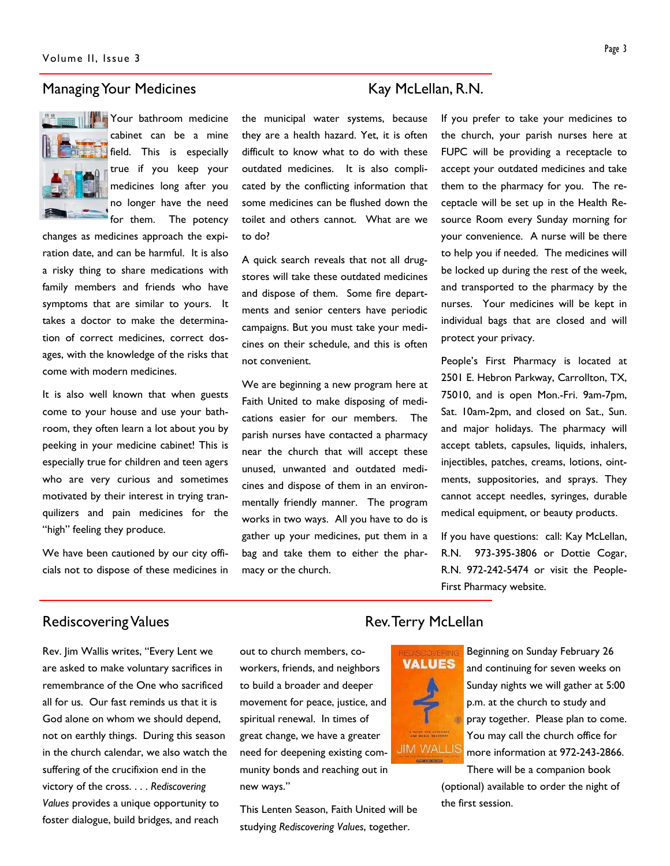#### Managing Your Medicines Managing Your Medicines



Your bathroom medicine cabinet can be a mine field. This is especially true if you keep your medicines long after you no longer have the need for them. The potency

changes as medicines approach the expiration date, and can be harmful. It is also a risky thing to share medications with family members and friends who have symptoms that are similar to yours. It takes a doctor to make the determination of correct medicines, correct dosages, with the knowledge of the risks that come with modern medicines.

It is also well known that when guests come to your house and use your bathroom, they often learn a lot about you by peeking in your medicine cabinet! This is especially true for children and teen agers who are very curious and sometimes motivated by their interest in trying tranquilizers and pain medicines for the "high" feeling they produce.

We have been cautioned by our city officials not to dispose of these medicines in the municipal water systems, because they are a health hazard. Yet, it is often difficult to know what to do with these outdated medicines. It is also complicated by the conflicting information that some medicines can be flushed down the toilet and others cannot. What are we to do?

A quick search reveals that not all drugstores will take these outdated medicines and dispose of them. Some fire departments and senior centers have periodic campaigns. But you must take your medicines on their schedule, and this is often not convenient.

We are beginning a new program here at Faith United to make disposing of medications easier for our members. The parish nurses have contacted a pharmacy near the church that will accept these unused, unwanted and outdated medicines and dispose of them in an environmentally friendly manner. The program works in two ways. All you have to do is gather up your medicines, put them in a bag and take them to either the pharmacy or the church.

If you prefer to take your medicines to the church, your parish nurses here at FUPC will be providing a receptacle to accept your outdated medicines and take them to the pharmacy for you. The receptacle will be set up in the Health Resource Room every Sunday morning for your convenience. A nurse will be there to help you if needed. The medicines will be locked up during the rest of the week, and transported to the pharmacy by the nurses. Your medicines will be kept in individual bags that are closed and will protect your privacy.

People's First Pharmacy is located at 2501 E. Hebron Parkway, Carrollton, TX, 75010, and is open Mon.-Fri. 9am-7pm, Sat. 10am-2pm, and closed on Sat., Sun. and major holidays. The pharmacy will accept tablets, capsules, liquids, inhalers, injectibles, patches, creams, lotions, ointments, suppositories, and sprays. They cannot accept needles, syringes, durable medical equipment, or beauty products.

If you have questions: call: Kay McLellan, R.N. 973-395-3806 or Dottie Cogar, R.N. 972-242-5474 or visit the People-First Pharmacy website.

#### Rediscovering Values **Rediscovering Values** Rev. Terry McLellan

Rev. Jim Wallis writes, "Every Lent we are asked to make voluntary sacrifices in remembrance of the One who sacrificed all for us. Our fast reminds us that it is God alone on whom we should depend, not on earthly things. During this season in the church calendar, we also watch the suffering of the crucifixion end in the victory of the cross. . . . *Rediscovering Values* provides a unique opportunity to foster dialogue, build bridges, and reach

out to church members, coworkers, friends, and neighbors to build a broader and deeper movement for peace, justice, and spiritual renewal. In times of great change, we have a greater need for deepening existing community bonds and reaching out in new ways."

This Lenten Season, Faith United will be studying *Rediscovering Values*, together.



Beginning on Sunday February 26 and continuing for seven weeks on Sunday nights we will gather at 5:00 p.m. at the church to study and pray together. Please plan to come. You may call the church office for more information at 972-243-2866. There will be a companion book

(optional) available to order the night of the first session.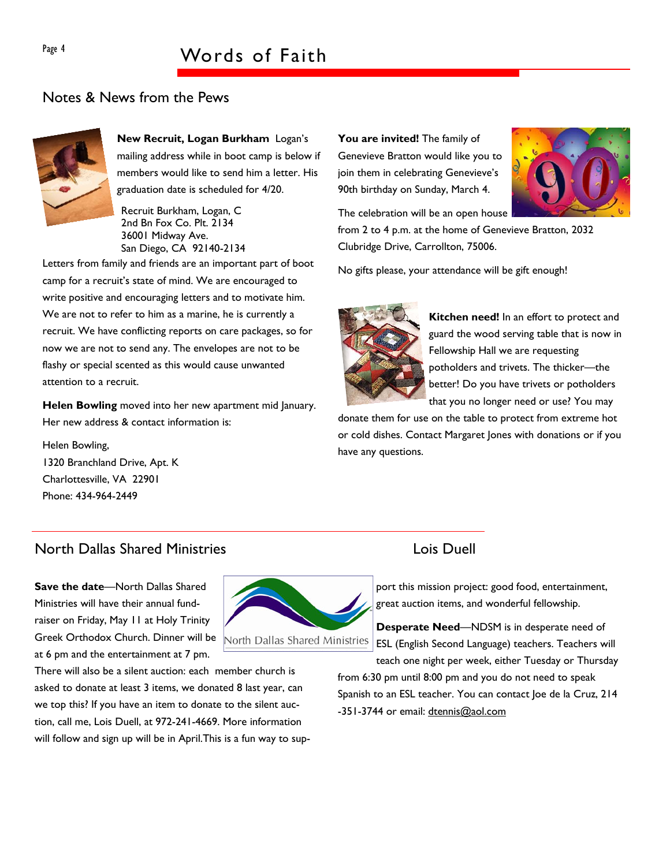## Page 4 Words of Faith

#### Notes & News from the Pews



**New Recruit, Logan Burkham** Logan's mailing address while in boot camp is below if members would like to send him a letter. His graduation date is scheduled for 4/20.

Recruit Burkham, Logan, C 2nd Bn Fox Co. Plt. 2134 36001 Midway Ave. San Diego, CA 92140-2134

Letters from family and friends are an important part of boot camp for a recruit's state of mind. We are encouraged to write positive and encouraging letters and to motivate him. We are not to refer to him as a marine, he is currently a recruit. We have conflicting reports on care packages, so for now we are not to send any. The envelopes are not to be flashy or special scented as this would cause unwanted attention to a recruit.

**Helen Bowling** moved into her new apartment mid January. Her new address & contact information is:

Helen Bowling, 1320 Branchland Drive, Apt. K Charlottesville, VA 22901 Phone: 434-964-2449

You are invited! The family of Genevieve Bratton would like you to join them in celebrating Genevieve's 90th birthday on Sunday, March 4.

The celebration will be an open house



from 2 to 4 p.m. at the home of Genevieve Bratton, 2032 Clubridge Drive, Carrollton, 75006.

No gifts please, your attendance will be gift enough!



**Kitchen need!** In an effort to protect and guard the wood serving table that is now in Fellowship Hall we are requesting potholders and trivets. The thicker—the better! Do you have trivets or potholders that you no longer need or use? You may

donate them for use on the table to protect from extreme hot or cold dishes. Contact Margaret Jones with donations or if you have any questions.

#### North Dallas Shared Ministries Lois Duell

**Save the date**—North Dallas Shared Ministries will have their annual fundraiser on Friday, May 11 at Holy Trinity Greek Orthodox Church. Dinner will be at 6 pm and the entertainment at 7 pm.



There will also be a silent auction: each member church is asked to donate at least 3 items, we donated 8 last year, can we top this? If you have an item to donate to the silent auction, call me, Lois Duell, at 972-241-4669. More information will follow and sign up will be in April.This is a fun way to sup-

port this mission project: good food, entertainment, great auction items, and wonderful fellowship.

**Desperate Need**—NDSM is in desperate need of ESL (English Second Language) teachers. Teachers will teach one night per week, either Tuesday or Thursday

from 6:30 pm until 8:00 pm and you do not need to speak Spanish to an ESL teacher. You can contact Joe de la Cruz, 214 -351-3744 or email: dtennis@aol.com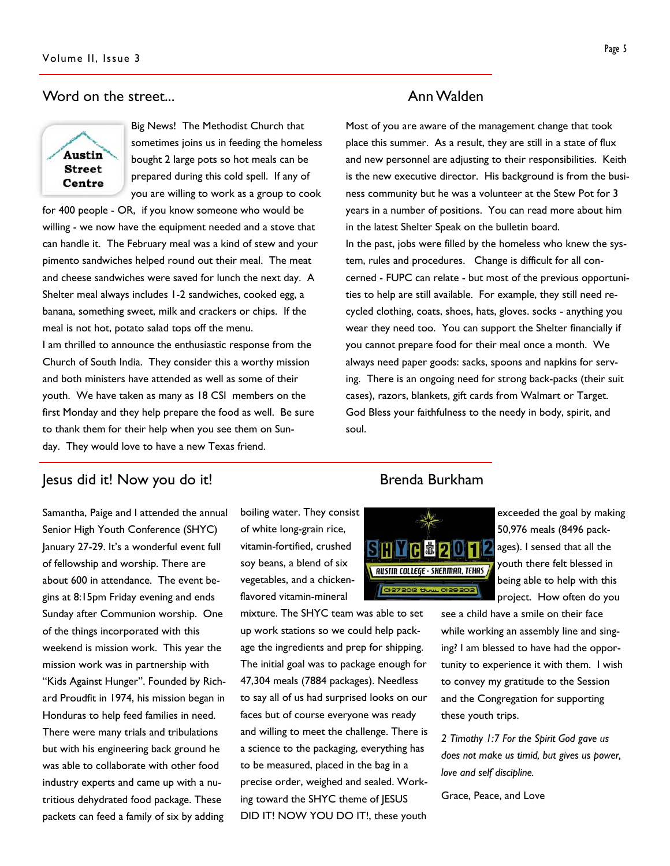#### Word on the street... The street of the street of the street of the street of the street of the street of the street of the street of the street of the street of the street of the street of the street of the street of the



Big News! The Methodist Church that sometimes joins us in feeding the homeless bought 2 large pots so hot meals can be prepared during this cold spell. If any of you are willing to work as a group to cook

for 400 people - OR, if you know someone who would be willing - we now have the equipment needed and a stove that can handle it. The February meal was a kind of stew and your pimento sandwiches helped round out their meal. The meat and cheese sandwiches were saved for lunch the next day. A Shelter meal always includes 1-2 sandwiches, cooked egg, a banana, something sweet, milk and crackers or chips. If the meal is not hot, potato salad tops off the menu. I am thrilled to announce the enthusiastic response from the Church of South India. They consider this a worthy mission and both ministers have attended as well as some of their youth. We have taken as many as 18 CSI members on the first Monday and they help prepare the food as well. Be sure to thank them for their help when you see them on Sunday. They would love to have a new Texas friend.

#### **Jesus did it! Now you do it!** And the second burkham being provided by the second burkham

Samantha, Paige and I attended the annual Senior High Youth Conference (SHYC) January 27-29. It's a wonderful event full of fellowship and worship. There are about 600 in attendance. The event begins at 8:15pm Friday evening and ends Sunday after Communion worship. One of the things incorporated with this weekend is mission work. This year the mission work was in partnership with "Kids Against Hunger". Founded by Richard Proudfit in 1974, his mission began in Honduras to help feed families in need. There were many trials and tribulations but with his engineering back ground he was able to collaborate with other food industry experts and came up with a nutritious dehydrated food package. These packets can feed a family of six by adding

boiling water. They consist of white long-grain rice, vitamin-fortified, crushed soy beans, a blend of six vegetables, and a chickenflavored vitamin-mineral

mixture. The SHYC team was able to set up work stations so we could help package the ingredients and prep for shipping. The initial goal was to package enough for 47,304 meals (7884 packages). Needless to say all of us had surprised looks on our faces but of course everyone was ready and willing to meet the challenge. There is a science to the packaging, everything has to be measured, placed in the bag in a precise order, weighed and sealed. Working toward the SHYC theme of JESUS DID IT! NOW YOU DO IT!, these youth

Most of you are aware of the management change that took place this summer. As a result, they are still in a state of flux and new personnel are adjusting to their responsibilities. Keith is the new executive director. His background is from the business community but he was a volunteer at the Stew Pot for 3 years in a number of positions. You can read more about him in the latest Shelter Speak on the bulletin board. In the past, jobs were filled by the homeless who knew the system, rules and procedures. Change is difficult for all concerned - FUPC can relate - but most of the previous opportunities to help are still available. For example, they still need recycled clothing, coats, shoes, hats, gloves. socks - anything you wear they need too. You can support the Shelter financially if you cannot prepare food for their meal once a month. We always need paper goods: sacks, spoons and napkins for serving. There is an ongoing need for strong back-packs (their suit cases), razors, blankets, gift cards from Walmart or Target. God Bless your faithfulness to the needy in body, spirit, and soul.



exceeded the goal by making 50,976 meals (8496 packages). I sensed that all the youth there felt blessed in being able to help with this project. How often do you

see a child have a smile on their face while working an assembly line and singing? I am blessed to have had the opportunity to experience it with them. I wish to convey my gratitude to the Session and the Congregation for supporting these youth trips.

*2 Timothy 1:7 For the Spirit God gave us does not make us timid, but gives us power, love and self discipline.* 

Grace, Peace, and Love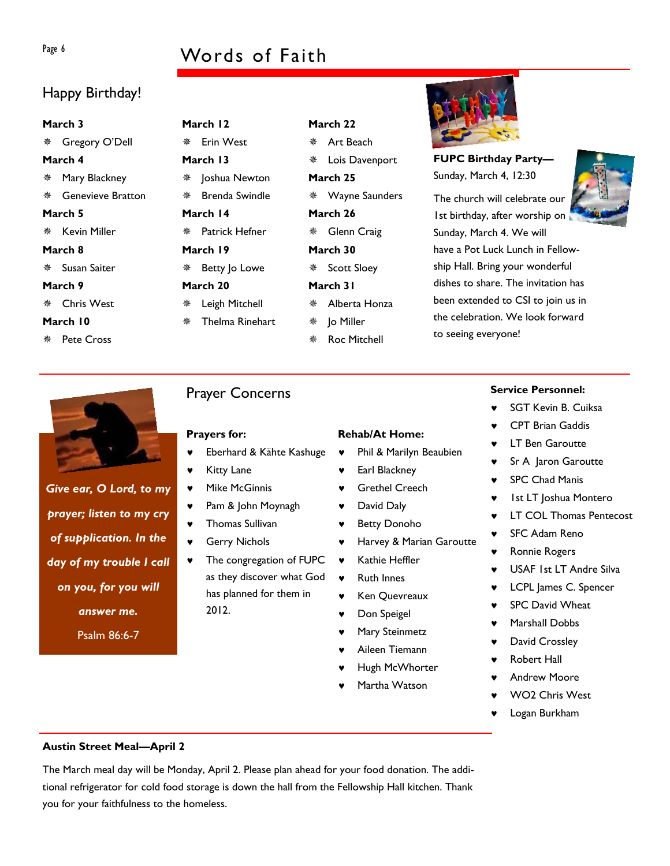# Page 6 Words of Faith

### Happy Birthday!

#### **March 3**

Gregory O'Dell

#### **March 4**

- Mary Blackney
- Genevieve Bratton

#### **March 5**

**※ Kevin Miller** 

- **March 8**
- Susan Saiter

#### **March 9**

**※ Chris West** 

#### **March 10**

**※ Pete Cross** 

#### **March 12 ※ Erin West March 13**

- \* Joshua Newton
- Brenda Swindle
- **March 14**

Patrick Hefner

- **March 19**
- Betty Jo Lowe
- **March 20**
- Leigh Mitchell
- Thelma Rinehart
- 

### Prayer Concerns

#### **Prayers for:**

- Eberhard & Kähte Kashuge
- **Kitty Lane**
- ♥ Mike McGinnis
- ♥ Pam & John Moynagh
- ♥ Thomas Sullivan
- **Gerry Nichols**
- The congregation of FUPC as they discover what God has planned for them in 2012.

**FUPC Birthday Party—** Sunday, March 4, 12:30

The church will celebrate our 1st birthday, after worship on Sunday, March 4. We will have a Pot Luck Lunch in Fellowship Hall. Bring your wonderful dishes to share. The invitation has been extended to CSI to join us in the celebration. We look forward to seeing everyone!





*Give ear, O Lord, to my prayer; listen to my cry of supplication. In the day of my trouble I call on you, for you will answer me.*  Psalm 86:6-7

### **Rehab/At Home:**

**March 22**  Art Beach

**March 25** 

**March 26** 

**March 30** 

Lois Davenport

Wayne Saunders

Glenn Craig

**※ Scott Sloey March 31** 

> Jo Miller Roc Mitchell

Alberta Honza

- ♥ Phil & Marilyn Beaubien
- Earl Blackney
- **Grethel Creech**
- ♥ David Daly
- ♥ Betty Donoho
- ♥ Harvey & Marian Garoutte
- ♥ Kathie Heffler
- ♥ Ruth Innes
- ♥ Ken Quevreaux
- Don Speigel
- Mary Steinmetz
- Aileen Tiemann
- Hugh McWhorter
- Martha Watson

#### **Service Personnel:**

- **SGT Kevin B. Cuiksa**
- **CPT Brian Gaddis**
- **LT Ben Garoutte**
- Sr A Jaron Garoutte
- **SPC Chad Manis**
- **Ist LT Joshua Montero**
- ♥ LT COL Thomas Pentecost
- **SFC Adam Reno**
- ♥ Ronnie Rogers
- ♥ USAF 1st LT Andre Silva
- ♥ LCPL James C. Spencer
- SPC David Wheat
- Marshall Dobbs
- ♥ David Crossley
- **Robert Hall**
- Andrew Moore
- WO<sub>2</sub> Chris West
- Logan Burkham

#### **Austin Street Meal—April 2**

The March meal day will be Monday, April 2. Please plan ahead for your food donation. The additional refrigerator for cold food storage is down the hall from the Fellowship Hall kitchen. Thank you for your faithfulness to the homeless.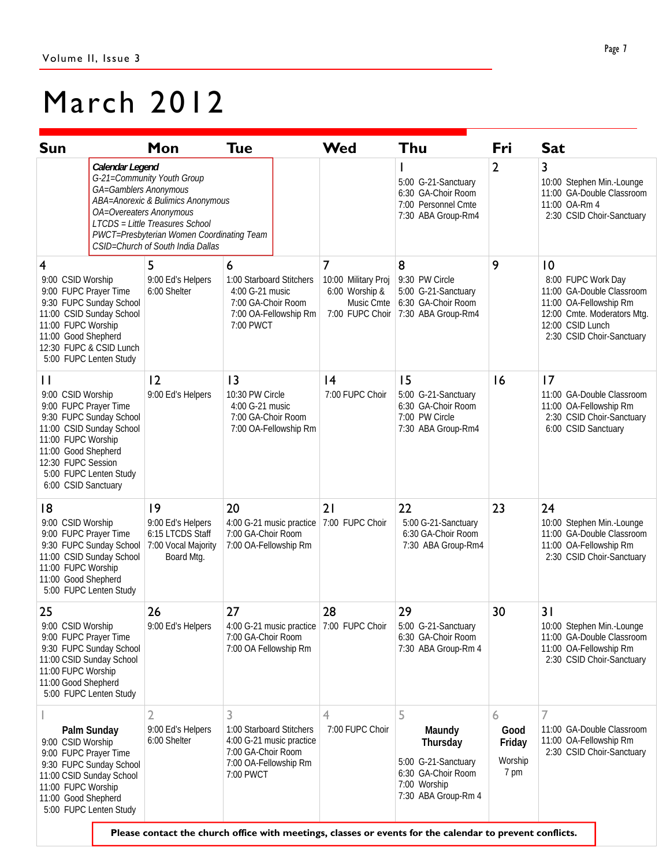# March 2012

| <b>Sun</b>                                                                                                                                                                                                                            | Mon                                                                                                                                                                                                             | Tue                                                                                                                                                                                                                               | Wed                                                                                      | Thu                                                                                                         | Fri                                    | <b>Sat</b>                                                                                                                                                      |
|---------------------------------------------------------------------------------------------------------------------------------------------------------------------------------------------------------------------------------------|-----------------------------------------------------------------------------------------------------------------------------------------------------------------------------------------------------------------|-----------------------------------------------------------------------------------------------------------------------------------------------------------------------------------------------------------------------------------|------------------------------------------------------------------------------------------|-------------------------------------------------------------------------------------------------------------|----------------------------------------|-----------------------------------------------------------------------------------------------------------------------------------------------------------------|
| Calendar Legend<br>GA=Gamblers Anonymous                                                                                                                                                                                              | G-21=Community Youth Group<br>ABA=Anorexic & Bulimics Anonymous<br>OA=Overeaters Anonymous<br>LTCDS = Little Treasures School<br>PWCT=Presbyterian Women Coordinating Team<br>CSID=Church of South India Dallas |                                                                                                                                                                                                                                   |                                                                                          | 5:00 G-21-Sanctuary<br>6:30 GA-Choir Room<br>7:00 Personnel Cmte<br>7:30 ABA Group-Rm4                      | $\overline{2}$                         | 3<br>10:00 Stephen Min.-Lounge<br>11:00 GA-Double Classroom<br>11:00 OA-Rm 4<br>2:30 CSID Choir-Sanctuary                                                       |
| 4<br>9:00 CSID Worship<br>9:00 FUPC Prayer Time<br>9:30 FUPC Sunday School<br>11:00 CSID Sunday School<br>11:00 FUPC Worship<br>11:00 Good Shepherd<br>12:30 FUPC & CSID Lunch<br>5:00 FUPC Lenten Study                              | 5<br>9:00 Ed's Helpers<br>6:00 Shelter                                                                                                                                                                          | 6<br>1:00 Starboard Stitchers<br>4:00 G-21 music<br>7:00 GA-Choir Room<br>7:00 OA-Fellowship Rm<br>7:00 PWCT                                                                                                                      | $\overline{7}$<br>10:00 Military Proj<br>6:00 Worship &<br>Music Cmte<br>7:00 FUPC Choir | 8<br>9:30 PW Circle<br>5:00 G-21-Sanctuary<br>6:30 GA-Choir Room<br>7:30 ABA Group-Rm4                      | 9                                      | 10<br>8:00 FUPC Work Day<br>11:00 GA-Double Classroom<br>11:00 OA-Fellowship Rm<br>12:00 Cmte. Moderators Mtg.<br>12:00 CSID Lunch<br>2:30 CSID Choir-Sanctuary |
| $\mathbf{H}$<br>9:00 CSID Worship<br>9:00 FUPC Prayer Time<br>9:30 FUPC Sunday School<br>11:00 CSID Sunday School<br>11:00 FUPC Worship<br>11:00 Good Shepherd<br>12:30 FUPC Session<br>5:00 FUPC Lenten Study<br>6:00 CSID Sanctuary | 2<br>9:00 Ed's Helpers                                                                                                                                                                                          | 13<br>10:30 PW Circle<br>4:00 G-21 music<br>7:00 GA-Choir Room<br>7:00 OA-Fellowship Rm                                                                                                                                           | 4<br>7:00 FUPC Choir                                                                     | 15<br>5:00 G-21-Sanctuary<br>6:30 GA-Choir Room<br>7:00 PW Circle<br>7:30 ABA Group-Rm4                     | 16                                     | 17<br>11:00 GA-Double Classroom<br>11:00 OA-Fellowship Rm<br>2:30 CSID Choir-Sanctuary<br>6:00 CSID Sanctuary                                                   |
| 8<br>9:00 CSID Worship<br>9:00 FUPC Prayer Time<br>9:30 FUPC Sunday School<br>11:00 CSID Sunday School<br>11:00 FUPC Worship<br>11:00 Good Shepherd<br>5:00 FUPC Lenten Study                                                         | 9<br>9:00 Ed's Helpers<br>6:15 LTCDS Staff<br>7:00 Vocal Majority<br>Board Mtg.                                                                                                                                 | 20<br>4:00 G-21 music practice<br>7:00 GA-Choir Room<br>7:00 OA-Fellowship Rm                                                                                                                                                     | 21<br>7:00 FUPC Choir                                                                    | 22<br>5:00 G-21-Sanctuary<br>6:30 GA-Choir Room<br>7:30 ABA Group-Rm4                                       | 23                                     | 24<br>10:00 Stephen Min.-Lounge<br>11:00 GA-Double Classroom<br>11:00 OA-Fellowship Rm<br>2:30 CSID Choir-Sanctuary                                             |
| 25<br>9:00 CSID Worship<br>9:00 FUPC Prayer Time<br>9:30 FUPC Sunday School<br>11:00 CSID Sunday School<br>11:00 FUPC Worship<br>11:00 Good Shepherd<br>5:00 FUPC Lenten Study                                                        | 26<br>9:00 Ed's Helpers                                                                                                                                                                                         | 27<br>4:00 G-21 music practice 7:00 FUPC Choir<br>7:00 GA-Choir Room<br>7:00 OA Fellowship Rm                                                                                                                                     | 28                                                                                       | 29<br>5:00 G-21-Sanctuary<br>6:30 GA-Choir Room<br>7:30 ABA Group-Rm 4                                      | 30                                     | 31<br>10:00 Stephen Min.-Lounge<br>11:00 GA-Double Classroom<br>11:00 OA-Fellowship Rm<br>2:30 CSID Choir-Sanctuary                                             |
| Palm Sunday<br>9:00 CSID Worship<br>9:00 FUPC Prayer Time<br>9:30 FUPC Sunday School<br>11:00 CSID Sunday School<br>11:00 FUPC Worship<br>11:00 Good Shepherd<br>5:00 FUPC Lenten Study                                               | 2<br>9:00 Ed's Helpers<br>6:00 Shelter                                                                                                                                                                          | 3<br>1:00 Starboard Stitchers<br>4:00 G-21 music practice<br>7:00 GA-Choir Room<br>7:00 OA-Fellowship Rm<br>7:00 PWCT<br>Please contact the church office with meetings, classes or events for the calendar to prevent conflicts. | 4<br>7:00 FUPC Choir                                                                     | 5<br>Maundy<br>Thursday<br>5:00 G-21-Sanctuary<br>6:30 GA-Choir Room<br>7:00 Worship<br>7:30 ABA Group-Rm 4 | 6<br>Good<br>Friday<br>Worship<br>7 pm | 7<br>11:00 GA-Double Classroom<br>11:00 OA-Fellowship Rm<br>2:30 CSID Choir-Sanctuary                                                                           |